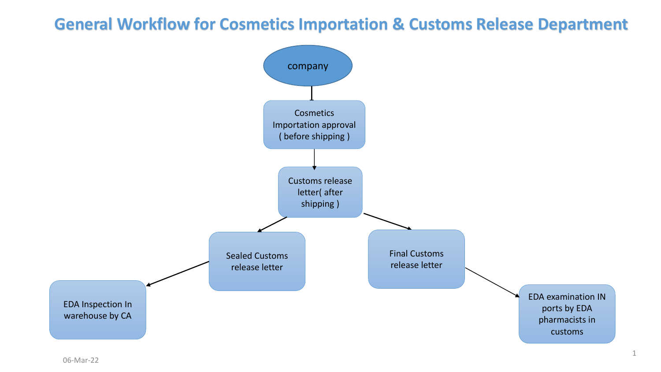## **General Workflow for Cosmetics Importation & Customs Release Department**

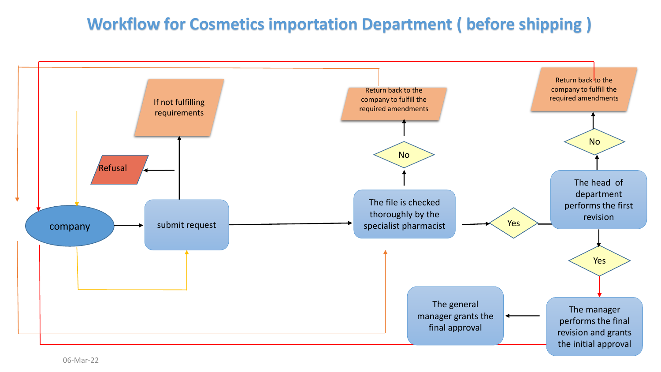## **Workflow for Cosmetics importation Department ( before shipping )**